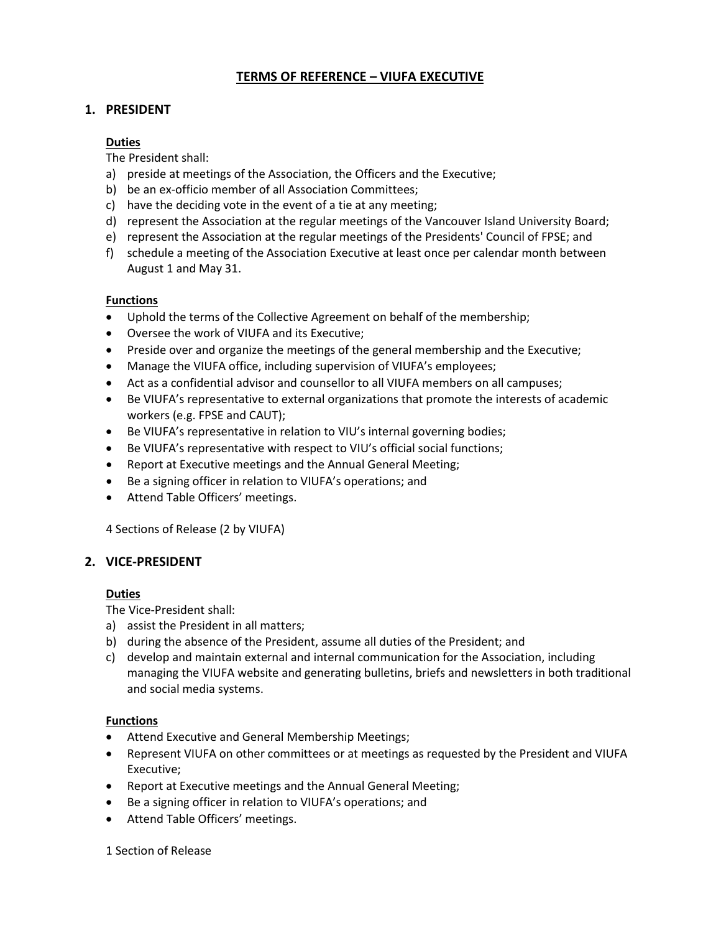# **TERMS OF REFERENCE – VIUFA EXECUTIVE**

# **1. PRESIDENT**

### **Duties**

The President shall:

- a) preside at meetings of the Association, the Officers and the Executive;
- b) be an ex-officio member of all Association Committees;
- c) have the deciding vote in the event of a tie at any meeting;
- d) represent the Association at the regular meetings of the Vancouver Island University Board;
- e) represent the Association at the regular meetings of the Presidents' Council of FPSE; and
- f) schedule a meeting of the Association Executive at least once per calendar month between August 1 and May 31.

### **Functions**

- Uphold the terms of the Collective Agreement on behalf of the membership;
- Oversee the work of VIUFA and its Executive;
- Preside over and organize the meetings of the general membership and the Executive;
- Manage the VIUFA office, including supervision of VIUFA's employees;
- Act as a confidential advisor and counsellor to all VIUFA members on all campuses;
- Be VIUFA's representative to external organizations that promote the interests of academic workers (e.g. FPSE and CAUT);
- Be VIUFA's representative in relation to VIU's internal governing bodies;
- Be VIUFA's representative with respect to VIU's official social functions;
- Report at Executive meetings and the Annual General Meeting;
- Be a signing officer in relation to VIUFA's operations; and
- Attend Table Officers' meetings.

4 Sections of Release (2 by VIUFA)

### **2. VICE-PRESIDENT**

### **Duties**

The Vice-President shall:

- a) assist the President in all matters;
- b) during the absence of the President, assume all duties of the President; and
- c) develop and maintain external and internal communication for the Association, including managing the VIUFA website and generating bulletins, briefs and newsletters in both traditional and social media systems.

### **Functions**

- Attend Executive and General Membership Meetings;
- Represent VIUFA on other committees or at meetings as requested by the President and VIUFA Executive;
- Report at Executive meetings and the Annual General Meeting;
- Be a signing officer in relation to VIUFA's operations; and
- Attend Table Officers' meetings.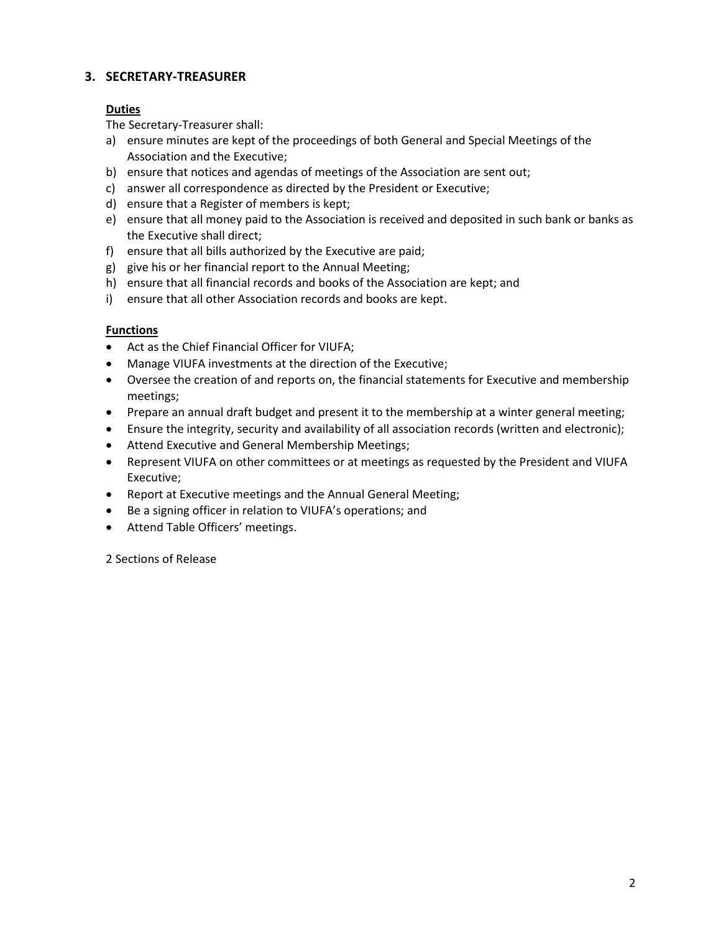# **3. SECRETARY-TREASURER**

### **Duties**

The Secretary-Treasurer shall:

- a) ensure minutes are kept of the proceedings of both General and Special Meetings of the Association and the Executive;
- b) ensure that notices and agendas of meetings of the Association are sent out;
- c) answer all correspondence as directed by the President or Executive;
- d) ensure that a Register of members is kept;
- e) ensure that all money paid to the Association is received and deposited in such bank or banks as the Executive shall direct;
- f) ensure that all bills authorized by the Executive are paid;
- g) give his or her financial report to the Annual Meeting;
- h) ensure that all financial records and books of the Association are kept; and
- i) ensure that all other Association records and books are kept.

### **Functions**

- Act as the Chief Financial Officer for VIUFA;
- Manage VIUFA investments at the direction of the Executive;
- Oversee the creation of and reports on, the financial statements for Executive and membership meetings;
- Prepare an annual draft budget and present it to the membership at a winter general meeting;
- Ensure the integrity, security and availability of all association records (written and electronic);
- Attend Executive and General Membership Meetings;
- Represent VIUFA on other committees or at meetings as requested by the President and VIUFA Executive;
- Report at Executive meetings and the Annual General Meeting;
- Be a signing officer in relation to VIUFA's operations; and
- Attend Table Officers' meetings.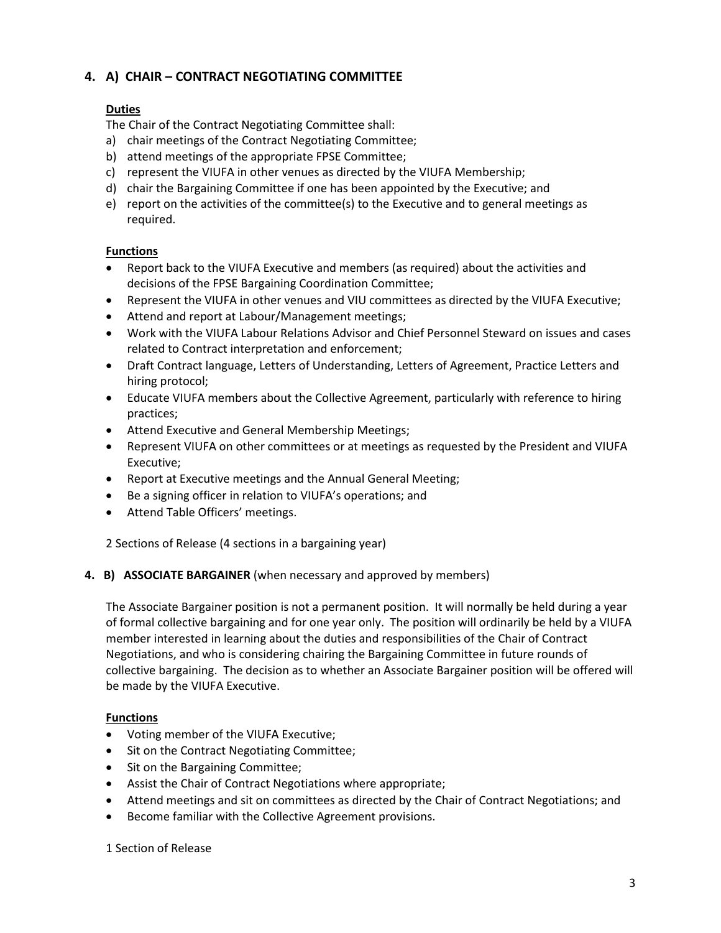# **4. A) CHAIR – CONTRACT NEGOTIATING COMMITTEE**

# **Duties**

The Chair of the Contract Negotiating Committee shall:

- a) chair meetings of the Contract Negotiating Committee;
- b) attend meetings of the appropriate FPSE Committee;
- c) represent the VIUFA in other venues as directed by the VIUFA Membership;
- d) chair the Bargaining Committee if one has been appointed by the Executive; and
- e) report on the activities of the committee(s) to the Executive and to general meetings as required.

### **Functions**

- Report back to the VIUFA Executive and members (as required) about the activities and decisions of the FPSE Bargaining Coordination Committee;
- Represent the VIUFA in other venues and VIU committees as directed by the VIUFA Executive;
- Attend and report at Labour/Management meetings;
- Work with the VIUFA Labour Relations Advisor and Chief Personnel Steward on issues and cases related to Contract interpretation and enforcement;
- Draft Contract language, Letters of Understanding, Letters of Agreement, Practice Letters and hiring protocol;
- Educate VIUFA members about the Collective Agreement, particularly with reference to hiring practices;
- Attend Executive and General Membership Meetings;
- Represent VIUFA on other committees or at meetings as requested by the President and VIUFA Executive;
- Report at Executive meetings and the Annual General Meeting;
- Be a signing officer in relation to VIUFA's operations; and
- Attend Table Officers' meetings.

2 Sections of Release (4 sections in a bargaining year)

### **4. B) ASSOCIATE BARGAINER** (when necessary and approved by members)

The Associate Bargainer position is not a permanent position. It will normally be held during a year of formal collective bargaining and for one year only. The position will ordinarily be held by a VIUFA member interested in learning about the duties and responsibilities of the Chair of Contract Negotiations, and who is considering chairing the Bargaining Committee in future rounds of collective bargaining. The decision as to whether an Associate Bargainer position will be offered will be made by the VIUFA Executive.

### **Functions**

- Voting member of the VIUFA Executive;
- Sit on the Contract Negotiating Committee;
- Sit on the Bargaining Committee;
- Assist the Chair of Contract Negotiations where appropriate;
- Attend meetings and sit on committees as directed by the Chair of Contract Negotiations; and
- Become familiar with the Collective Agreement provisions.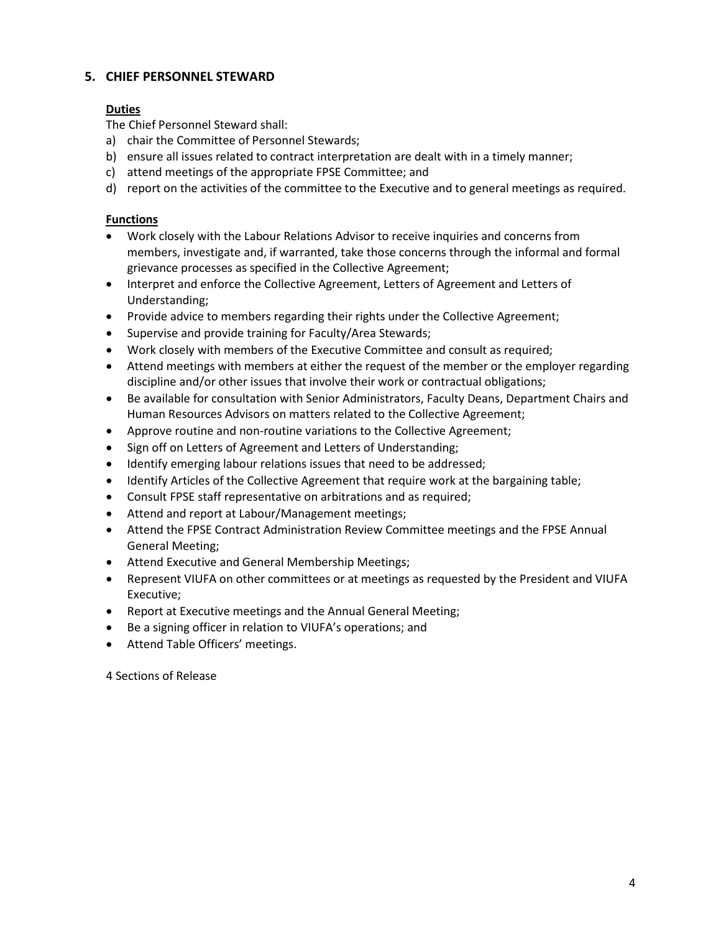# **5. CHIEF PERSONNEL STEWARD**

### **Duties**

The Chief Personnel Steward shall:

- a) chair the Committee of Personnel Stewards;
- b) ensure all issues related to contract interpretation are dealt with in a timely manner;
- c) attend meetings of the appropriate FPSE Committee; and
- d) report on the activities of the committee to the Executive and to general meetings as required.

### **Functions**

- Work closely with the Labour Relations Advisor to receive inquiries and concerns from members, investigate and, if warranted, take those concerns through the informal and formal grievance processes as specified in the Collective Agreement;
- Interpret and enforce the Collective Agreement, Letters of Agreement and Letters of Understanding;
- Provide advice to members regarding their rights under the Collective Agreement;
- Supervise and provide training for Faculty/Area Stewards;
- Work closely with members of the Executive Committee and consult as required;
- Attend meetings with members at either the request of the member or the employer regarding discipline and/or other issues that involve their work or contractual obligations;
- Be available for consultation with Senior Administrators, Faculty Deans, Department Chairs and Human Resources Advisors on matters related to the Collective Agreement;
- Approve routine and non-routine variations to the Collective Agreement;
- Sign off on Letters of Agreement and Letters of Understanding;
- Identify emerging labour relations issues that need to be addressed;
- Identify Articles of the Collective Agreement that require work at the bargaining table;
- Consult FPSE staff representative on arbitrations and as required;
- Attend and report at Labour/Management meetings;
- Attend the FPSE Contract Administration Review Committee meetings and the FPSE Annual General Meeting;
- Attend Executive and General Membership Meetings;
- Represent VIUFA on other committees or at meetings as requested by the President and VIUFA Executive;
- Report at Executive meetings and the Annual General Meeting;
- Be a signing officer in relation to VIUFA's operations; and
- Attend Table Officers' meetings.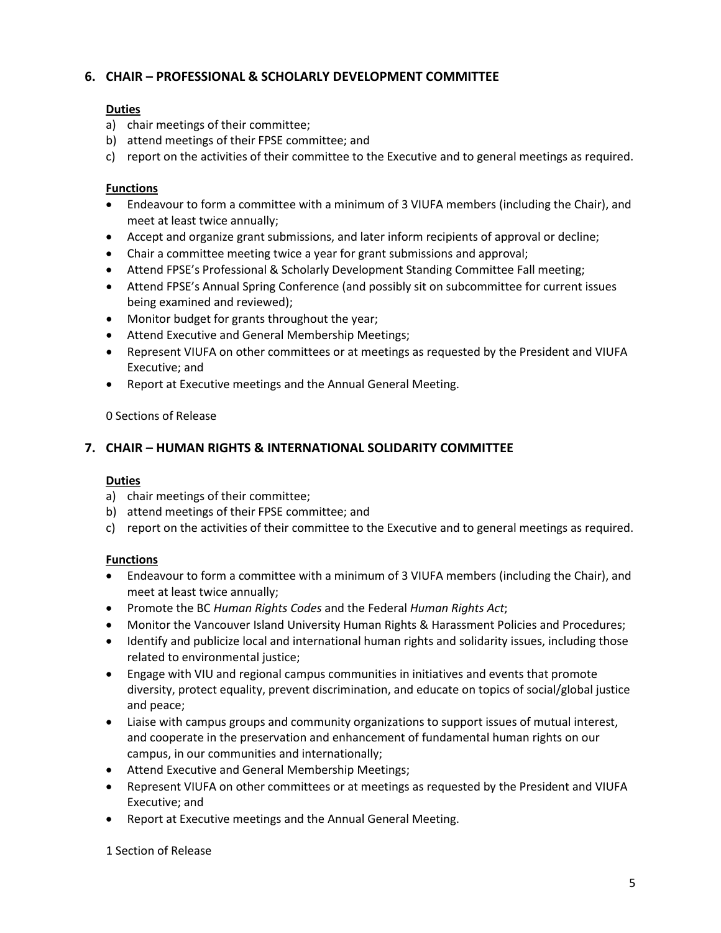# **6. CHAIR – PROFESSIONAL & SCHOLARLY DEVELOPMENT COMMITTEE**

### **Duties**

- a) chair meetings of their committee;
- b) attend meetings of their FPSE committee; and
- c) report on the activities of their committee to the Executive and to general meetings as required.

### **Functions**

- Endeavour to form a committee with a minimum of 3 VIUFA members (including the Chair), and meet at least twice annually;
- Accept and organize grant submissions, and later inform recipients of approval or decline;
- Chair a committee meeting twice a year for grant submissions and approval;
- Attend FPSE's Professional & Scholarly Development Standing Committee Fall meeting;
- Attend FPSE's Annual Spring Conference (and possibly sit on subcommittee for current issues being examined and reviewed);
- Monitor budget for grants throughout the year;
- Attend Executive and General Membership Meetings;
- Represent VIUFA on other committees or at meetings as requested by the President and VIUFA Executive; and
- Report at Executive meetings and the Annual General Meeting.

0 Sections of Release

### **7. CHAIR – HUMAN RIGHTS & INTERNATIONAL SOLIDARITY COMMITTEE**

### **Duties**

- a) chair meetings of their committee;
- b) attend meetings of their FPSE committee; and
- c) report on the activities of their committee to the Executive and to general meetings as required.

### **Functions**

- Endeavour to form a committee with a minimum of 3 VIUFA members (including the Chair), and meet at least twice annually;
- Promote the BC *Human Rights Codes* and the Federal *Human Rights Act*;
- Monitor the Vancouver Island University Human Rights & Harassment Policies and Procedures;
- Identify and publicize local and international human rights and solidarity issues, including those related to environmental justice;
- Engage with VIU and regional campus communities in initiatives and events that promote diversity, protect equality, prevent discrimination, and educate on topics of social/global justice and peace;
- Liaise with campus groups and community organizations to support issues of mutual interest, and cooperate in the preservation and enhancement of fundamental human rights on our campus, in our communities and internationally;
- Attend Executive and General Membership Meetings;
- Represent VIUFA on other committees or at meetings as requested by the President and VIUFA Executive; and
- Report at Executive meetings and the Annual General Meeting.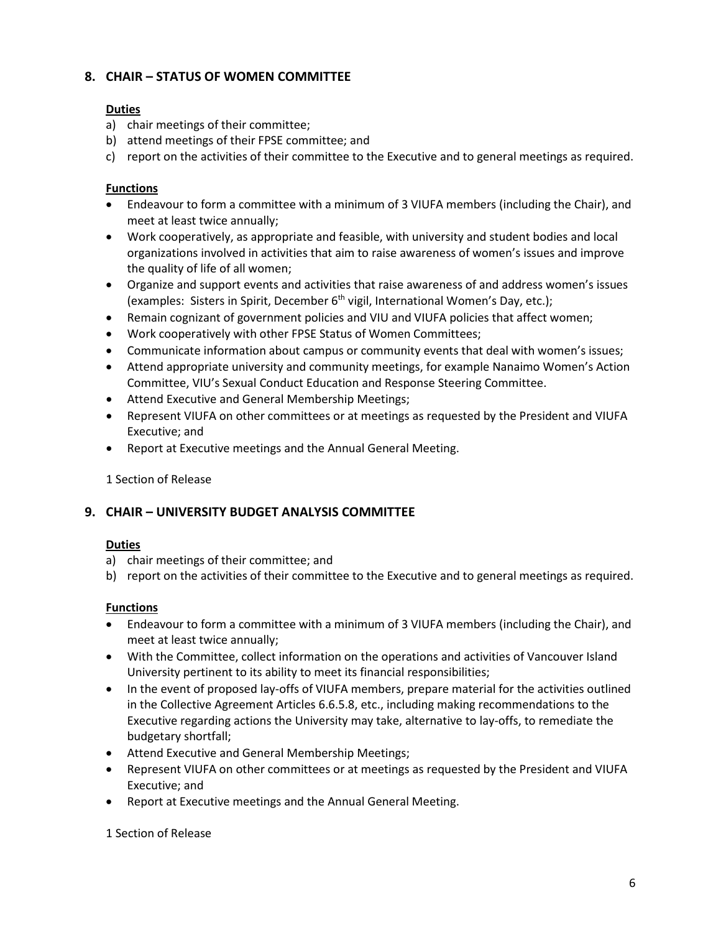# **8. CHAIR – STATUS OF WOMEN COMMITTEE**

# **Duties**

- a) chair meetings of their committee;
- b) attend meetings of their FPSE committee; and
- c) report on the activities of their committee to the Executive and to general meetings as required.

# **Functions**

- Endeavour to form a committee with a minimum of 3 VIUFA members (including the Chair), and meet at least twice annually;
- Work cooperatively, as appropriate and feasible, with university and student bodies and local organizations involved in activities that aim to raise awareness of women's issues and improve the quality of life of all women;
- Organize and support events and activities that raise awareness of and address women's issues (examples: Sisters in Spirit, December 6<sup>th</sup> vigil, International Women's Day, etc.);
- Remain cognizant of government policies and VIU and VIUFA policies that affect women;
- Work cooperatively with other FPSE Status of Women Committees;
- Communicate information about campus or community events that deal with women's issues;
- Attend appropriate university and community meetings, for example Nanaimo Women's Action Committee, VIU's Sexual Conduct Education and Response Steering Committee.
- Attend Executive and General Membership Meetings;
- Represent VIUFA on other committees or at meetings as requested by the President and VIUFA Executive; and
- Report at Executive meetings and the Annual General Meeting.

## 1 Section of Release

# **9. CHAIR – UNIVERSITY BUDGET ANALYSIS COMMITTEE**

### **Duties**

- a) chair meetings of their committee; and
- b) report on the activities of their committee to the Executive and to general meetings as required.

### **Functions**

- Endeavour to form a committee with a minimum of 3 VIUFA members (including the Chair), and meet at least twice annually;
- With the Committee, collect information on the operations and activities of Vancouver Island University pertinent to its ability to meet its financial responsibilities;
- In the event of proposed lay-offs of VIUFA members, prepare material for the activities outlined in the Collective Agreement Articles 6.6.5.8, etc., including making recommendations to the Executive regarding actions the University may take, alternative to lay-offs, to remediate the budgetary shortfall;
- Attend Executive and General Membership Meetings;
- Represent VIUFA on other committees or at meetings as requested by the President and VIUFA Executive; and
- Report at Executive meetings and the Annual General Meeting.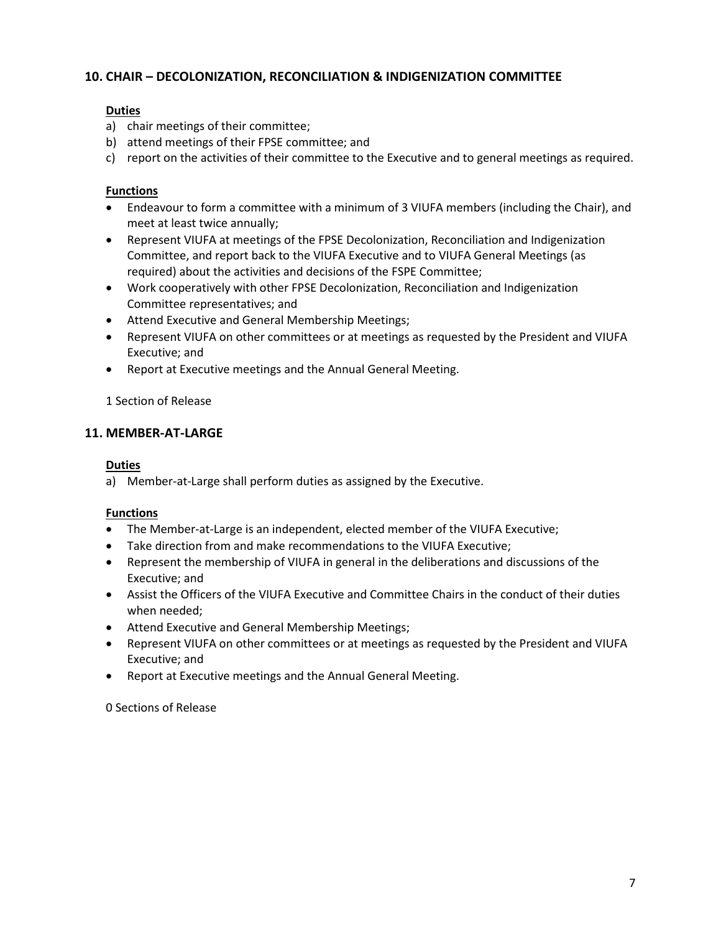# **10. CHAIR – DECOLONIZATION, RECONCILIATION & INDIGENIZATION COMMITTEE**

### **Duties**

- a) chair meetings of their committee;
- b) attend meetings of their FPSE committee; and
- c) report on the activities of their committee to the Executive and to general meetings as required.

### **Functions**

- Endeavour to form a committee with a minimum of 3 VIUFA members (including the Chair), and meet at least twice annually;
- Represent VIUFA at meetings of the FPSE Decolonization, Reconciliation and Indigenization Committee, and report back to the VIUFA Executive and to VIUFA General Meetings (as required) about the activities and decisions of the FSPE Committee;
- Work cooperatively with other FPSE Decolonization, Reconciliation and Indigenization Committee representatives; and
- Attend Executive and General Membership Meetings;
- Represent VIUFA on other committees or at meetings as requested by the President and VIUFA Executive; and
- Report at Executive meetings and the Annual General Meeting.

1 Section of Release

### **11. MEMBER-AT-LARGE**

### **Duties**

a) Member-at-Large shall perform duties as assigned by the Executive.

### **Functions**

- The Member-at-Large is an independent, elected member of the VIUFA Executive;
- Take direction from and make recommendations to the VIUFA Executive;
- Represent the membership of VIUFA in general in the deliberations and discussions of the Executive; and
- Assist the Officers of the VIUFA Executive and Committee Chairs in the conduct of their duties when needed;
- Attend Executive and General Membership Meetings;
- Represent VIUFA on other committees or at meetings as requested by the President and VIUFA Executive; and
- Report at Executive meetings and the Annual General Meeting.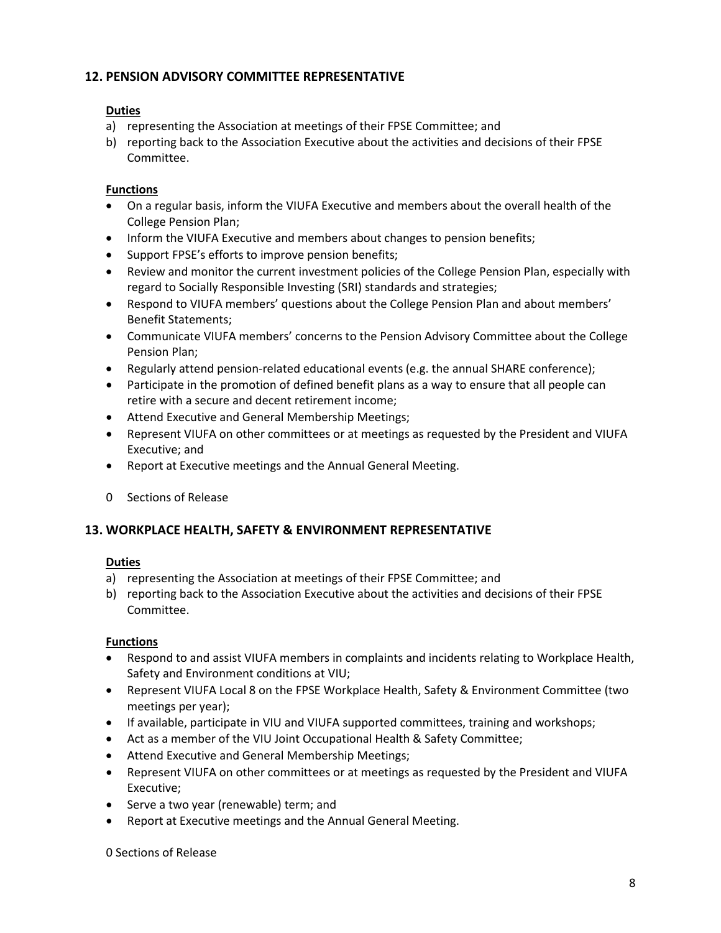# **12. PENSION ADVISORY COMMITTEE REPRESENTATIVE**

### **Duties**

- a) representing the Association at meetings of their FPSE Committee; and
- b) reporting back to the Association Executive about the activities and decisions of their FPSE Committee.

### **Functions**

- On a regular basis, inform the VIUFA Executive and members about the overall health of the College Pension Plan;
- Inform the VIUFA Executive and members about changes to pension benefits;
- Support FPSE's efforts to improve pension benefits;
- Review and monitor the current investment policies of the College Pension Plan, especially with regard to Socially Responsible Investing (SRI) standards and strategies;
- Respond to VIUFA members' questions about the College Pension Plan and about members' Benefit Statements;
- Communicate VIUFA members' concerns to the Pension Advisory Committee about the College Pension Plan;
- Regularly attend pension-related educational events (e.g. the annual SHARE conference);
- Participate in the promotion of defined benefit plans as a way to ensure that all people can retire with a secure and decent retirement income;
- Attend Executive and General Membership Meetings;
- Represent VIUFA on other committees or at meetings as requested by the President and VIUFA Executive; and
- Report at Executive meetings and the Annual General Meeting.
- 0 Sections of Release

### **13. WORKPLACE HEALTH, SAFETY & ENVIRONMENT REPRESENTATIVE**

### **Duties**

- a) representing the Association at meetings of their FPSE Committee; and
- b) reporting back to the Association Executive about the activities and decisions of their FPSE Committee.

### **Functions**

- Respond to and assist VIUFA members in complaints and incidents relating to Workplace Health, Safety and Environment conditions at VIU;
- Represent VIUFA Local 8 on the FPSE Workplace Health, Safety & Environment Committee (two meetings per year);
- If available, participate in VIU and VIUFA supported committees, training and workshops;
- Act as a member of the VIU Joint Occupational Health & Safety Committee;
- Attend Executive and General Membership Meetings;
- Represent VIUFA on other committees or at meetings as requested by the President and VIUFA Executive;
- Serve a two year (renewable) term; and
- Report at Executive meetings and the Annual General Meeting.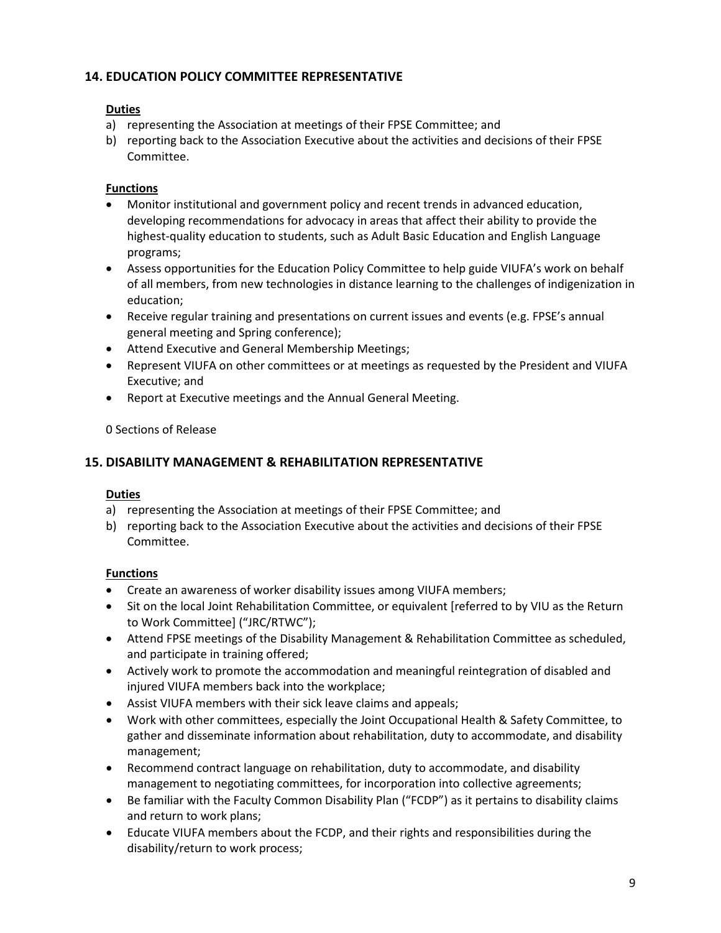# **14. EDUCATION POLICY COMMITTEE REPRESENTATIVE**

### **Duties**

- a) representing the Association at meetings of their FPSE Committee; and
- b) reporting back to the Association Executive about the activities and decisions of their FPSE Committee.

### **Functions**

- Monitor institutional and government policy and recent trends in advanced education, developing recommendations for advocacy in areas that affect their ability to provide the highest-quality education to students, such as Adult Basic Education and English Language programs;
- Assess opportunities for the Education Policy Committee to help guide VIUFA's work on behalf of all members, from new technologies in distance learning to the challenges of indigenization in education;
- Receive regular training and presentations on current issues and events (e.g. FPSE's annual general meeting and Spring conference);
- Attend Executive and General Membership Meetings;
- Represent VIUFA on other committees or at meetings as requested by the President and VIUFA Executive; and
- Report at Executive meetings and the Annual General Meeting.

0 Sections of Release

### **15. DISABILITY MANAGEMENT & REHABILITATION REPRESENTATIVE**

### **Duties**

- a) representing the Association at meetings of their FPSE Committee; and
- b) reporting back to the Association Executive about the activities and decisions of their FPSE Committee.

### **Functions**

- Create an awareness of worker disability issues among VIUFA members;
- Sit on the local Joint Rehabilitation Committee, or equivalent [referred to by VIU as the Return to Work Committee] ("JRC/RTWC");
- Attend FPSE meetings of the Disability Management & Rehabilitation Committee as scheduled, and participate in training offered;
- Actively work to promote the accommodation and meaningful reintegration of disabled and injured VIUFA members back into the workplace;
- Assist VIUFA members with their sick leave claims and appeals;
- Work with other committees, especially the Joint Occupational Health & Safety Committee, to gather and disseminate information about rehabilitation, duty to accommodate, and disability management;
- Recommend contract language on rehabilitation, duty to accommodate, and disability management to negotiating committees, for incorporation into collective agreements;
- Be familiar with the Faculty Common Disability Plan ("FCDP") as it pertains to disability claims and return to work plans;
- Educate VIUFA members about the FCDP, and their rights and responsibilities during the disability/return to work process;